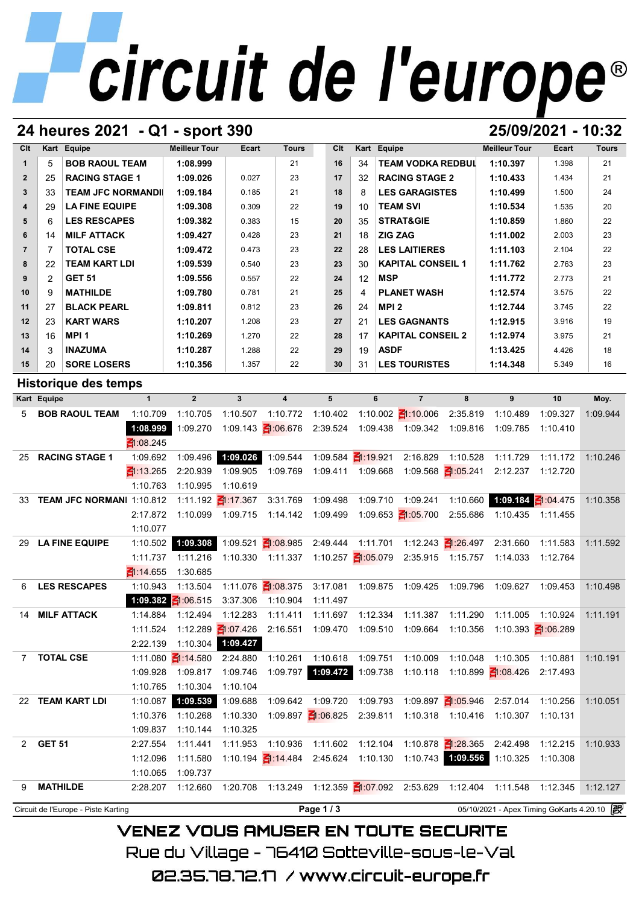## **24 heures 2021 - Q1 - sport 390 25/09/2021 - 10:32**

| Clt                     |    | Kart Equipe               | <b>Meilleur Tour</b> | Ecart | <b>Tours</b> | Clt | Kart | Equipe                   | <b>Meilleur Tour</b> | Ecart | <b>Tours</b> |
|-------------------------|----|---------------------------|----------------------|-------|--------------|-----|------|--------------------------|----------------------|-------|--------------|
|                         | 5  | <b>BOB RAOUL TEAM</b>     | 1:08.999             |       | 21           | 16  | 34   | <b>TEAM VODKA REDBUL</b> | 1:10.397             | 1.398 | 21           |
| $\overline{2}$          | 25 | <b>RACING STAGE 1</b>     | 1:09.026             | 0.027 | 23           | 17  | 32   | <b>RACING STAGE 2</b>    | 1:10.433             | 1.434 | 21           |
| $\mathbf{3}$            | 33 | <b>TEAM JFC NORMANDII</b> | 1:09.184             | 0.185 | 21           | 18  | 8    | <b>LES GARAGISTES</b>    | 1:10.499             | 1.500 | 24           |
| $\overline{\mathbf{4}}$ | 29 | <b>LA FINE EQUIPE</b>     | 1:09.308             | 0.309 | 22           | 19  | 10   | <b>TEAM SVI</b>          | 1:10.534             | 1.535 | 20           |
| 5                       | 6  | <b>LES RESCAPES</b>       | 1:09.382             | 0.383 | 15           | 20  | 35   | <b>STRAT&amp;GIE</b>     | 1:10.859             | 1.860 | 22           |
| 6                       | 14 | <b>MILF ATTACK</b>        | 1:09.427             | 0.428 | 23           | 21  | 18   | <b>ZIG ZAG</b>           | 1:11.002             | 2.003 | 23           |
| $\overline{7}$          |    | <b>TOTAL CSE</b>          | 1:09.472             | 0.473 | 23           | 22  | 28   | <b>LES LAITIERES</b>     | 1:11.103             | 2.104 | 22           |
| 8                       | 22 | <b>TEAM KART LDI</b>      | 1:09.539             | 0.540 | 23           | 23  | 30   | <b>KAPITAL CONSEIL 1</b> | 1:11.762             | 2.763 | 23           |
| 9                       | 2  | <b>GET 51</b>             | 1:09.556             | 0.557 | 22           | 24  | 12   | <b>MSP</b>               | 1:11.772             | 2.773 | 21           |
| 10                      | 9  | <b>MATHILDE</b>           | 1:09.780             | 0.781 | 21           | 25  | 4    | <b>PLANET WASH</b>       | 1:12.574             | 3.575 | 22           |
| 11                      | 27 | <b>BLACK PEARL</b>        | 1:09.811             | 0.812 | 23           | 26  | 24   | MPI <sub>2</sub>         | 1:12.744             | 3.745 | 22           |
| 12                      | 23 | <b>KART WARS</b>          | 1:10.207             | 1.208 | 23           | 27  | 21   | <b>LES GAGNANTS</b>      | 1:12.915             | 3.916 | 19           |
| 13                      | 16 | MPI <sub>1</sub>          | 1:10.269             | 1.270 | 22           | 28  | 17   | <b>KAPITAL CONSEIL 2</b> | 1:12.974             | 3.975 | 21           |
| 14                      | 3  | <b>INAZUMA</b>            | 1:10.287             | 1.288 | 22           | 29  | 19   | <b>ASDF</b>              | 1:13.425             | 4.426 | 18           |
| 15                      | 20 | <b>SORE LOSERS</b>        | 1:10.356             | 1.357 | 22           | 30  | 31   | <b>LES TOURISTES</b>     | 1:14.348             | 5.349 | 16           |

## **Historique des temps**

| 15          | 20                          | <b>SORE LOSERS</b>                  |                        | 1:10.356               | 1.357                           | 22                                                         | 30       | 31                                         | <b>LES TOURISTES</b>                |                                | 1:14.348                                                                       | 5.349                    | 16       |
|-------------|-----------------------------|-------------------------------------|------------------------|------------------------|---------------------------------|------------------------------------------------------------|----------|--------------------------------------------|-------------------------------------|--------------------------------|--------------------------------------------------------------------------------|--------------------------|----------|
|             | <b>Historique des temps</b> |                                     |                        |                        |                                 |                                                            |          |                                            |                                     |                                |                                                                                |                          |          |
|             | Kart Equipe                 |                                     | $\mathbf{1}$           | $\overline{2}$         | $\mathbf{3}$                    | $\overline{\mathbf{4}}$                                    | 5        | 6                                          | $\overline{7}$                      | 8                              | 9                                                                              | 10                       | Moy.     |
| 5           |                             | <b>BOB RAOUL TEAM</b>               | 1:10.709               | 1:10.705               | 1:10.507                        | 1:10.772                                                   |          |                                            | 1:10.402 1:10.002 1:10.006 2:35.819 |                                | 1:10.489                                                                       | 1:09.327                 | 1:09.944 |
|             |                             |                                     | 1:08.999               | 1:09.270               |                                 | 1:09.143 1:06.676 2:39.524 1:09.438 1:09.342 1:09.816      |          |                                            |                                     |                                | 1:09.785                                                                       | 1:10.410                 |          |
|             |                             |                                     | $\leq 1.08.245$        |                        |                                 |                                                            |          |                                            |                                     |                                |                                                                                |                          |          |
| 25          |                             | <b>RACING STAGE 1</b>               | 1:09.692               | 1:09.496               | 1:09.026                        | 1:09.544                                                   |          | 1:09.584 1:19.921                          | 2:16.829                            | 1:10.528                       | 1:11.729                                                                       | 1:11.172                 | 1:10.246 |
|             |                             |                                     | $\frac{2}{11}$ :13.265 | 2:20.939               | 1:09.905                        | 1:09.769                                                   |          | 1:09.411 1:09.668                          |                                     | 1:09.568 1:05.241              |                                                                                | 2:12.237 1:12.720        |          |
|             |                             |                                     | 1:10.763               | 1:10.995               | 1:10.619                        |                                                            |          |                                            |                                     |                                |                                                                                |                          |          |
|             |                             | 33 TEAM JFC NORMANI 1:10.812        |                        |                        | 1:11.192 $\frac{2}{11}$ :17.367 | 3:31.769                                                   | 1:09.498 | 1:09.710                                   | 1:09.241                            |                                |                                                                                |                          | 1:10.358 |
|             |                             |                                     | 2:17.872               |                        |                                 | 1:10.099  1:09.715  1:14.142  1:09.499  1:09.653  1:05.700 |          |                                            |                                     |                                | 2:55.686 1:10.435 1:11.455                                                     |                          |          |
|             |                             |                                     | 1:10.077               |                        |                                 |                                                            |          |                                            |                                     |                                |                                                                                |                          |          |
|             |                             | 29 LA FINE EQUIPE                   | 1:10.502               |                        |                                 | 1:09.308 1:09.521 $\leq$ 1:08.985                          |          |                                            |                                     |                                | 2:49.444 1:11.701 1:12.243 1:26.497 2:31.660                                   | 1:11.583                 | 1:11.592 |
|             |                             |                                     | 1:11.737               | 1:11.216               |                                 |                                                            |          |                                            |                                     |                                | 1:10.330  1:11.337  1:10.257  1:05.079  2:35.915  1:15.757  1:14.033           | 1:12.764                 |          |
|             |                             |                                     | 引:14.655               | 1:30.685               |                                 |                                                            |          |                                            |                                     |                                |                                                                                |                          |          |
| 6           |                             | <b>LES RESCAPES</b>                 | 1:10.943               | 1:13.504               |                                 | 1:11.076 1:08.375                                          | 3:17.081 | 1:09.875                                   | 1:09.425                            | 1:09.796                       | 1:09.627                                                                       | 1:09.453                 | 1:10.498 |
|             |                             |                                     |                        | 1:09.382 1:06.515      | 3:37.306                        | 1:10.904                                                   | 1:11.497 |                                            |                                     |                                |                                                                                |                          |          |
| 14          |                             | <b>MILF ATTACK</b>                  | 1:14.884               | 1:12.494               | 1:12.283                        | 1:11.411                                                   | 1:11.697 | 1:12.334                                   | 1:11.387                            | 1:11.290                       | 1:11.005                                                                       | 1:10.924                 | 1:11.191 |
|             |                             |                                     | 1:11.524               |                        | 1:12.289 $\leq$ 1:07.426        | 2:16.551                                                   | 1:09.470 | 1:09.510                                   | 1:09.664                            | 1:10.356                       |                                                                                | 1:10.393 $\leq$ 1:06.289 |          |
|             |                             |                                     | 2:22.139               |                        | 1:10.304 1:09.427               |                                                            |          |                                            |                                     |                                |                                                                                |                          |          |
| $7^{\circ}$ |                             | <b>TOTAL CSE</b>                    | 1:11.080               | $\frac{2}{11}$ :14.580 | 2:24.880                        | 1:10.261                                                   | 1:10.618 | 1:09.751                                   | 1:10.009                            | 1:10.048                       | 1:10.305                                                                       | 1:10.881                 | 1:10.191 |
|             |                             |                                     | 1:09.928               | 1:09.817               | 1:09.746                        | 1:09.797                                                   |          | 1:09.472 1:09.738                          | 1:10.118                            |                                | 1:10.899 1:08.426                                                              | 2:17.493                 |          |
|             |                             |                                     | 1:10.765               | 1:10.304               | 1:10.104                        |                                                            |          |                                            |                                     |                                |                                                                                |                          |          |
|             |                             | 22 TEAM KART LDI                    | 1:10.087               | 1:09.539               | 1:09.688                        | 1:09.642                                                   | 1:09.720 | 1:09.793                                   |                                     | 1:09.897 $\frac{21:05.946}{5}$ | 2:57.014                                                                       | 1:10.256                 | 1:10.051 |
|             |                             |                                     | 1:10.376               | 1:10.268               | 1:10.330                        |                                                            |          | 1:09.897 1:06.825 2:39.811                 |                                     |                                | 1:10.318  1:10.416  1:10.307                                                   | 1:10.131                 |          |
|             |                             |                                     | 1:09.837               | 1:10.144               | 1:10.325                        |                                                            |          |                                            |                                     |                                |                                                                                |                          |          |
|             | 2 GET 51                    |                                     | 2:27.554               | 1:11.441               | 1:11.953                        | 1:10.936                                                   | 1:11.602 | 1:12.104                                   |                                     | 1:10.878 $\frac{28.365}{6}$    | 2:42.498                                                                       | 1:12.215                 | 1:10.933 |
|             |                             |                                     | 1:12.096               | 1:11.580               |                                 | 1:10.194 11.484                                            |          | 2:45.624 1:10.130                          |                                     | 1:10.743 1:09.556              | 1:10.325                                                                       | 1:10.308                 |          |
|             |                             |                                     | 1:10.065               | 1:09.737               |                                 |                                                            |          |                                            |                                     |                                |                                                                                |                          |          |
| 9           | <b>MATHILDE</b>             |                                     | 2:28.207               | 1:12.660               |                                 |                                                            |          |                                            |                                     |                                | 1:20.708  1:13.249  1:12.359  1:07.092  2:53.629  1:12.404  1:11.548  1:12.345 |                          | 1:12.127 |
|             |                             | Circuit de l'Europe - Piste Karting |                        |                        |                                 |                                                            |          | 05/10/2021 - Apex Timing GoKarts 4.20.10 2 |                                     |                                |                                                                                |                          |          |

**VENEZ VOUS AMUSER EN TOUTE SECURITE** Rue du Village – 76410 Sotteville-sous-le-Val

02.35.78.72.17 / www.circuit-europe.fr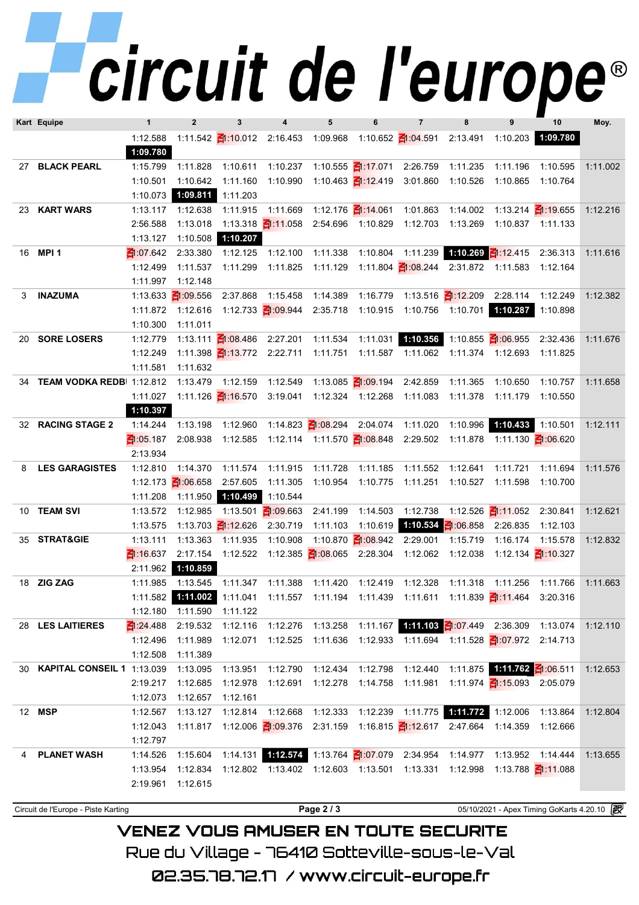# 1:12.588 1:11.542 <mark>5</mark>1:10.012 2:16.453 1:09.968 1:10.652 **51**:04.591 2:13.491 1:10.203 **1:09.780**

| Kart Equipe                         | 1                     | $\overline{2}$                  | 3                               | 4                                   | 5          | 6                        | $\overline{7}$                                                                                   | 8                 | 9                                 | 10                                         | Moy.     |
|-------------------------------------|-----------------------|---------------------------------|---------------------------------|-------------------------------------|------------|--------------------------|--------------------------------------------------------------------------------------------------|-------------------|-----------------------------------|--------------------------------------------|----------|
|                                     | 1:12.588              |                                 |                                 |                                     |            |                          | 1:11.542 $\frac{21}{10.012}$ 2:16.453 1:09.968 1:10.652 $\frac{21}{104.591}$ 2:13.491            |                   |                                   | 1:10.203  1:09.780                         |          |
|                                     | 1:09.780              |                                 |                                 |                                     |            |                          |                                                                                                  |                   |                                   |                                            |          |
| 27 BLACK PEARL                      |                       | 1:15.799 1:11.828               |                                 | 1:10.611  1:10.237                  |            |                          | 1:10.555 1:17.071 2:26.759 1:11.235                                                              |                   | 1:11.196                          | 1:10.595                                   | 1:11.002 |
|                                     | 1:10.501              |                                 | 1:10.642  1:11.160              | 1:10.990                            |            |                          | 1:10.463 $\frac{21:12.419}{1:12.419}$ 3:01.860                                                   | 1:10.526          | 1:10.865                          | 1:10.764                                   |          |
|                                     | 1:10.073              |                                 | 1:09.811 1:11.203               |                                     |            |                          |                                                                                                  |                   |                                   |                                            |          |
| 23 KART WARS                        | 1:13.117              | 1:12.638                        | 1:11.915                        |                                     |            |                          |                                                                                                  | 1:01.863 1:14.002 |                                   | 1:13.214 <b>₹</b> 1:19.655                 | 1:12.216 |
|                                     | 2:56.588              | 1:13.018                        |                                 |                                     |            |                          | 1:13.318 1:11.058 2:54.696 1:10.829 1:12.703                                                     | 1:13.269          | 1:10.837 1:11.133                 |                                            |          |
|                                     | 1:13.127              |                                 | 1:10.508 1:10.207               |                                     |            |                          |                                                                                                  |                   |                                   |                                            |          |
| 16 MPI 1                            | $\frac{2}{10}$ 07.642 | 2:33.380                        | 1:12.125                        | 1:12.100                            | 1:11.338   |                          | 1:10.804  1:11.239  1:10.269  1:12.415  2:36.313                                                 |                   |                                   |                                            | 1:11.616 |
|                                     | 1:12.499              |                                 | 1:11.537  1:11.299              | 1:11.825                            |            |                          |                                                                                                  |                   |                                   |                                            |          |
|                                     | 1:11.997              | 1:12.148                        |                                 |                                     |            |                          |                                                                                                  |                   |                                   |                                            |          |
| 3 INAZUMA                           |                       |                                 |                                 | 1:13.633 1:09.556 2:37.868 1:15.458 |            |                          |                                                                                                  |                   |                                   |                                            | 1:12.382 |
|                                     |                       |                                 |                                 |                                     |            |                          | 1:11.872 1:12.616 1:12.733 1:09.944 2:35.718 1:10.915 1:10.756 1:10.701 1:10.287                 |                   |                                   | 1:10.898                                   |          |
|                                     | 1:10.300              | 1:11.011                        |                                 |                                     |            |                          |                                                                                                  |                   |                                   |                                            |          |
| 20 SORE LOSERS                      | 1:12.779              |                                 |                                 |                                     |            |                          | 1:13.111 $\leq$ 1:08.486 2:27.201 1:11.534 1:11.031 1:10.356                                     |                   | 1:10.855 $\leq$ 1:06.955 2:32.436 |                                            | 1:11.676 |
|                                     | 1:12.249              |                                 |                                 |                                     |            |                          | 1:11.398 1:13.772 2:22.711 1:11.751 1:11.587 1:11.062 1:11.374 1:12.693 1:11.825                 |                   |                                   |                                            |          |
|                                     | 1:11.581              | 1:11.632                        |                                 |                                     |            |                          |                                                                                                  |                   |                                   |                                            |          |
| 34 TEAM VODKA REDB 1:12.812         |                       |                                 |                                 | 1:13.479  1:12.159  1:12.549        |            | 1:13.085 <b>1:09.194</b> | 2:42.859                                                                                         | 1:11.365          | 1:10.650                          | 1:10.757                                   | 1:11.658 |
|                                     | 1:11.027              |                                 |                                 |                                     |            |                          | 1:11.126 1:16.570 3:19.041 1:12.324 1:12.268 1:11.083 1:11.378 1:11.179 1:10.550                 |                   |                                   |                                            |          |
|                                     | 1:10.397              |                                 |                                 |                                     |            |                          |                                                                                                  |                   |                                   |                                            |          |
| 32 RACING STAGE 2                   |                       |                                 |                                 |                                     |            |                          | 1:14.244 1:13.198 1:12.960 1:14.823 1:08.294 2:04.074 1:11.020 1:10.996 1:10.433                 |                   |                                   | 1:10.501                                   | 1:12.111 |
|                                     |                       |                                 |                                 |                                     |            |                          | 206.620 1:105.187 2:08.938 1:12.585 1:12.114 1:11.570 21:08.848 2:29.502 1:11.878 1:11.130       |                   |                                   |                                            |          |
|                                     | 2:13.934              |                                 |                                 |                                     |            |                          |                                                                                                  |                   |                                   |                                            |          |
| 8 LES GARAGISTES                    | 1:12.810              | 1:14.370                        | 1:11.574                        | 1:11.915                            |            |                          | 1:11.728  1:11.185  1:11.552                                                                     | 1:12.641          |                                   | 1:11.721  1:11.694                         | 1:11.576 |
|                                     |                       | 1:12.173 $\frac{21:06.658}{50}$ | 2:57.605                        | 1:11.305                            |            |                          | 1:10.954  1:10.775  1:11.251                                                                     |                   | 1:10.527  1:11.598  1:10.700      |                                            |          |
|                                     | 1:11.208              | 1:11.950                        | 1:10.499                        | 1:10.544                            |            |                          |                                                                                                  |                   |                                   |                                            |          |
| 10 TEAM SVI                         | 1:13.572              | 1:12.985                        |                                 | 1:13.501 $\frac{21}{109}$ 663       |            |                          | 2:41.199 1:14.503 1:12.738                                                                       |                   | 1:12.526 1:11.052 2:30.841        |                                            | 1:12.621 |
|                                     | 1:13.575              |                                 | 1:13.703 $\frac{2}{11}$ :12.626 | 2:30.719                            |            |                          | 1:11.103  1:10.619  1:10.534  1:06.858  2:26.835                                                 |                   |                                   | 1:12.103                                   |          |
| 35 STRAT&GIE                        | 1:13.111              | 1:13.363                        | 1:11.935                        | 1:10.908                            |            |                          | 1:10.870 $\frac{21:08.942}{2:29.001}$                                                            | 1:15.719          |                                   | 1:16.174  1:15.578                         | 1:12.832 |
|                                     | $-1:16.637$           |                                 |                                 |                                     |            |                          | 2:17.154 1:12.522 1:12.385 1:08.065 2:28.304 1:12.062 1:12.038 1:12.134 1:12.137                 |                   |                                   |                                            |          |
|                                     | 2:11.962              | 1:10.859                        |                                 |                                     |            |                          |                                                                                                  |                   |                                   |                                            |          |
| 18 ZIG ZAG                          | 1:11.985              |                                 | 1:13.545  1:11.347              | 1:11.388                            |            |                          | 1:11.420  1:12.419  1:12.328                                                                     | 1:11.318          |                                   |                                            | 1:11.663 |
|                                     |                       |                                 |                                 |                                     |            |                          | 1:11.582 <b>1:11.002</b> 1:11.041 1:11.557 1:11.194 1:11.439 1:11.611 1:11.839 1:11.464 3:20.316 |                   |                                   |                                            |          |
|                                     |                       | 1:12.180  1:11.590  1:11.122    |                                 |                                     |            |                          |                                                                                                  |                   |                                   |                                            |          |
| 28 LES LAITIERES                    | $-1.24.488$           | 2:19.532                        |                                 |                                     |            |                          | $1:12.116$ 1:12.276 1:13.258 1:11.167 111.108 1:07.449 2:36.309 1:13.074                         |                   |                                   |                                            | 1:12.110 |
|                                     | 1:12.496              | 1:11.989                        |                                 |                                     |            |                          | 1:12.071  1:12.525  1:11.636  1:12.933  1:11.694  1:11.528  1:07.972  2:14.713                   |                   |                                   |                                            |          |
|                                     | 1:12.508              | 1:11.389                        |                                 |                                     |            |                          |                                                                                                  |                   |                                   |                                            |          |
| 30 KAPITAL CONSEIL 1 1:13.039       |                       | 1:13.095                        | 1:13.951                        |                                     |            |                          | 1:12.790  1:12.434  1:12.798  1:12.440  1:11.875  1:11.762  1:06.511                             |                   |                                   |                                            | 1:12.653 |
|                                     | 2:19.217              | 1:12.685                        |                                 |                                     |            |                          | 1:12.978  1:12.691  1:12.278  1:14.758  1:11.981  1:11.974  1:15.093  2:05.079                   |                   |                                   |                                            |          |
|                                     | 1:12.073              | 1:12.657                        | 1:12.161                        |                                     |            |                          |                                                                                                  |                   |                                   |                                            |          |
| 12 MSP                              | 1:12.567              |                                 | 1:13.127  1:12.814              | 1:12.668                            |            |                          | 1:12.333 1:12.239 1:11.775 1:11.772 1:12.006 1:13.864                                            |                   |                                   |                                            | 1:12.804 |
|                                     | 1:12.043              |                                 |                                 |                                     |            |                          | 1:11.817 1:12.006 1:09.376 2:31.159 1:16.815 1:12.617 2:47.664 1:14.359 1:12.666                 |                   |                                   |                                            |          |
|                                     | 1:12.797              |                                 |                                 |                                     |            |                          |                                                                                                  |                   |                                   |                                            |          |
| 4 PLANET WASH                       | 1:14.526              |                                 |                                 |                                     |            |                          | 1:15.604 1:14.131 1:12.574 1:13.764 1:07.079 2:34.954 1:14.977 1:13.952 1:14.444                 |                   |                                   |                                            | 1:13.655 |
|                                     | 1:13.954              | 1:12.834                        |                                 |                                     |            |                          | 1:12.802  1:13.402  1:12.603  1:13.501  1:13.331  1:12.998  1:13.788 <mark>1</mark> :11.088      |                   |                                   |                                            |          |
|                                     | 2:19.961              | 1:12.615                        |                                 |                                     |            |                          |                                                                                                  |                   |                                   |                                            |          |
| Circuit de l'Europe - Piste Karting |                       |                                 |                                 |                                     | Page 2 / 3 |                          |                                                                                                  |                   |                                   | 05/10/2021 - Apex Timing GoKarts 4.20.10 2 |          |
|                                     |                       |                                 |                                 |                                     |            |                          |                                                                                                  |                   |                                   |                                            |          |
|                                     |                       |                                 |                                 |                                     |            |                          | <b>VENEZ VOUS AMUSER EN TOUTE SECURITE</b>                                                       |                   |                                   |                                            |          |

Rue du Village – 76410 Sotteville–sous–le–Val

02.35.78.72.17 /www.circuit-europe.fr